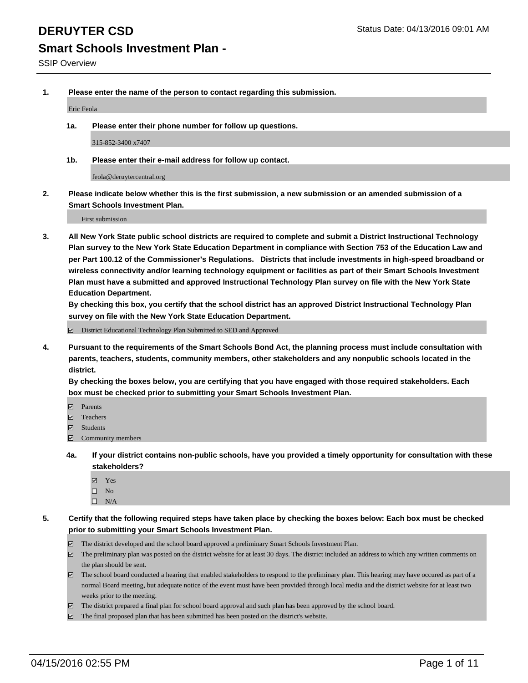**1. Please enter the name of the person to contact regarding this submission.**

Eric Feola

**1a. Please enter their phone number for follow up questions.**

315-852-3400 x7407

**1b. Please enter their e-mail address for follow up contact.**

feola@deruytercentral.org

**2. Please indicate below whether this is the first submission, a new submission or an amended submission of a Smart Schools Investment Plan.**

First submission

**3. All New York State public school districts are required to complete and submit a District Instructional Technology Plan survey to the New York State Education Department in compliance with Section 753 of the Education Law and per Part 100.12 of the Commissioner's Regulations. Districts that include investments in high-speed broadband or wireless connectivity and/or learning technology equipment or facilities as part of their Smart Schools Investment Plan must have a submitted and approved Instructional Technology Plan survey on file with the New York State Education Department.** 

**By checking this box, you certify that the school district has an approved District Instructional Technology Plan survey on file with the New York State Education Department.**

■ District Educational Technology Plan Submitted to SED and Approved

**4. Pursuant to the requirements of the Smart Schools Bond Act, the planning process must include consultation with parents, teachers, students, community members, other stakeholders and any nonpublic schools located in the district.** 

**By checking the boxes below, you are certifying that you have engaged with those required stakeholders. Each box must be checked prior to submitting your Smart Schools Investment Plan.**

- **Parents**
- □ Teachers
- Students
- $\boxdot$  Community members
- **4a. If your district contains non-public schools, have you provided a timely opportunity for consultation with these stakeholders?**
	- Yes
	- $\square$  No
	- $\Box$  N/A
- **5. Certify that the following required steps have taken place by checking the boxes below: Each box must be checked prior to submitting your Smart Schools Investment Plan.**
	- The district developed and the school board approved a preliminary Smart Schools Investment Plan.
	- The preliminary plan was posted on the district website for at least 30 days. The district included an address to which any written comments on the plan should be sent.
	- $\Box$  The school board conducted a hearing that enabled stakeholders to respond to the preliminary plan. This hearing may have occured as part of a normal Board meeting, but adequate notice of the event must have been provided through local media and the district website for at least two weeks prior to the meeting.
	- The district prepared a final plan for school board approval and such plan has been approved by the school board.
	- The final proposed plan that has been submitted has been posted on the district's website.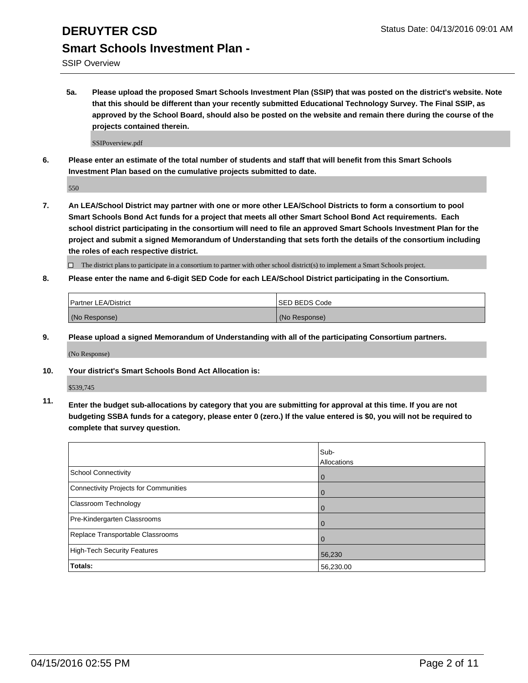SSIP Overview

**5a. Please upload the proposed Smart Schools Investment Plan (SSIP) that was posted on the district's website. Note that this should be different than your recently submitted Educational Technology Survey. The Final SSIP, as approved by the School Board, should also be posted on the website and remain there during the course of the projects contained therein.**

SSIPoverview.pdf

**6. Please enter an estimate of the total number of students and staff that will benefit from this Smart Schools Investment Plan based on the cumulative projects submitted to date.**

550

**7. An LEA/School District may partner with one or more other LEA/School Districts to form a consortium to pool Smart Schools Bond Act funds for a project that meets all other Smart School Bond Act requirements. Each school district participating in the consortium will need to file an approved Smart Schools Investment Plan for the project and submit a signed Memorandum of Understanding that sets forth the details of the consortium including the roles of each respective district.**

 $\Box$  The district plans to participate in a consortium to partner with other school district(s) to implement a Smart Schools project.

**8. Please enter the name and 6-digit SED Code for each LEA/School District participating in the Consortium.**

| <b>Partner LEA/District</b> | ISED BEDS Code |
|-----------------------------|----------------|
| (No Response)               | (No Response)  |

**9. Please upload a signed Memorandum of Understanding with all of the participating Consortium partners.**

(No Response)

**10. Your district's Smart Schools Bond Act Allocation is:**

\$539,745

**11. Enter the budget sub-allocations by category that you are submitting for approval at this time. If you are not budgeting SSBA funds for a category, please enter 0 (zero.) If the value entered is \$0, you will not be required to complete that survey question.**

|                                       | Sub-<br>Allocations |
|---------------------------------------|---------------------|
| School Connectivity                   | 0                   |
| Connectivity Projects for Communities | 0                   |
| <b>Classroom Technology</b>           | 0                   |
| Pre-Kindergarten Classrooms           |                     |
| Replace Transportable Classrooms      | $\Omega$            |
| High-Tech Security Features           | 56,230              |
| Totals:                               | 56,230.00           |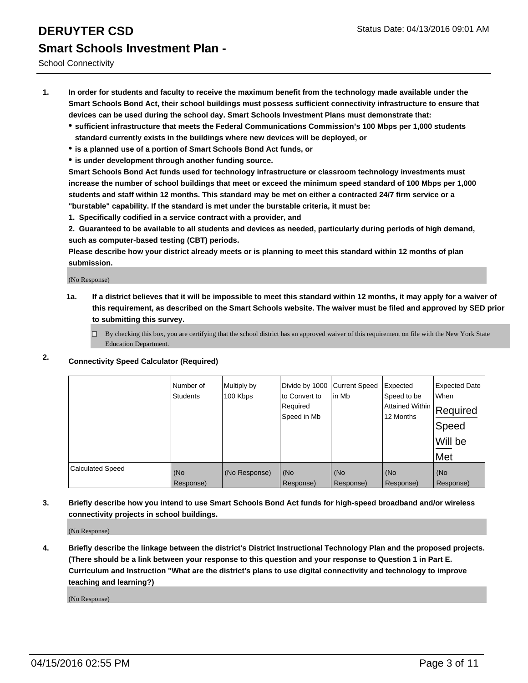School Connectivity

- **1. In order for students and faculty to receive the maximum benefit from the technology made available under the Smart Schools Bond Act, their school buildings must possess sufficient connectivity infrastructure to ensure that devices can be used during the school day. Smart Schools Investment Plans must demonstrate that:**
	- **sufficient infrastructure that meets the Federal Communications Commission's 100 Mbps per 1,000 students standard currently exists in the buildings where new devices will be deployed, or**
	- **is a planned use of a portion of Smart Schools Bond Act funds, or**
	- **is under development through another funding source.**

**Smart Schools Bond Act funds used for technology infrastructure or classroom technology investments must increase the number of school buildings that meet or exceed the minimum speed standard of 100 Mbps per 1,000 students and staff within 12 months. This standard may be met on either a contracted 24/7 firm service or a "burstable" capability. If the standard is met under the burstable criteria, it must be:**

**1. Specifically codified in a service contract with a provider, and**

**2. Guaranteed to be available to all students and devices as needed, particularly during periods of high demand, such as computer-based testing (CBT) periods.**

**Please describe how your district already meets or is planning to meet this standard within 12 months of plan submission.**

(No Response)

- **1a. If a district believes that it will be impossible to meet this standard within 12 months, it may apply for a waiver of this requirement, as described on the Smart Schools website. The waiver must be filed and approved by SED prior to submitting this survey.**
	- □ By checking this box, you are certifying that the school district has an approved waiver of this requirement on file with the New York State Education Department.
- **2. Connectivity Speed Calculator (Required)**

|                         | Number of<br>Students | Multiply by<br>100 Kbps | Divide by 1000<br>to Convert to<br>Required<br>Speed in Mb | <b>Current Speed</b><br>in Mb | Expected<br>Speed to be<br> Attained Within   Required<br>12 Months | <b>Expected Date</b><br>When<br>Speed<br>Will be<br>Met |
|-------------------------|-----------------------|-------------------------|------------------------------------------------------------|-------------------------------|---------------------------------------------------------------------|---------------------------------------------------------|
| <b>Calculated Speed</b> | (No                   | (No Response)           | (No                                                        | (No                           | (No                                                                 | (No                                                     |
|                         | Response)             |                         | Response)                                                  | Response)                     | Response)                                                           | Response)                                               |

**3. Briefly describe how you intend to use Smart Schools Bond Act funds for high-speed broadband and/or wireless connectivity projects in school buildings.**

(No Response)

**4. Briefly describe the linkage between the district's District Instructional Technology Plan and the proposed projects. (There should be a link between your response to this question and your response to Question 1 in Part E. Curriculum and Instruction "What are the district's plans to use digital connectivity and technology to improve teaching and learning?)**

(No Response)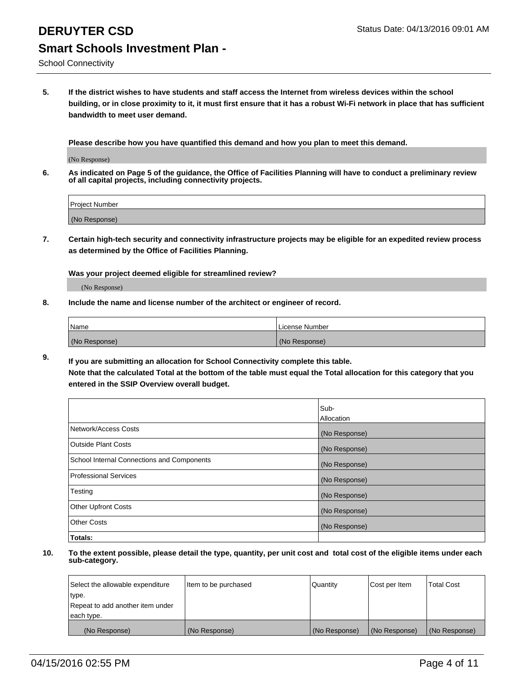School Connectivity

**5. If the district wishes to have students and staff access the Internet from wireless devices within the school building, or in close proximity to it, it must first ensure that it has a robust Wi-Fi network in place that has sufficient bandwidth to meet user demand.**

**Please describe how you have quantified this demand and how you plan to meet this demand.**

(No Response)

**6. As indicated on Page 5 of the guidance, the Office of Facilities Planning will have to conduct a preliminary review of all capital projects, including connectivity projects.**

| <b>Project Number</b> |  |
|-----------------------|--|
| (No Response)         |  |

**7. Certain high-tech security and connectivity infrastructure projects may be eligible for an expedited review process as determined by the Office of Facilities Planning.**

**Was your project deemed eligible for streamlined review?**

(No Response)

**8. Include the name and license number of the architect or engineer of record.**

| Name          | License Number |
|---------------|----------------|
| (No Response) | (No Response)  |

**9. If you are submitting an allocation for School Connectivity complete this table. Note that the calculated Total at the bottom of the table must equal the Total allocation for this category that you entered in the SSIP Overview overall budget.** 

|                                            | Sub-          |
|--------------------------------------------|---------------|
|                                            | Allocation    |
| Network/Access Costs                       | (No Response) |
| <b>Outside Plant Costs</b>                 | (No Response) |
| School Internal Connections and Components | (No Response) |
| <b>Professional Services</b>               | (No Response) |
| Testing                                    | (No Response) |
| <b>Other Upfront Costs</b>                 | (No Response) |
| <b>Other Costs</b>                         | (No Response) |
| Totals:                                    |               |

| Select the allowable expenditure | Item to be purchased | Quantity      | Cost per Item | <b>Total Cost</b> |
|----------------------------------|----------------------|---------------|---------------|-------------------|
| type.                            |                      |               |               |                   |
| Repeat to add another item under |                      |               |               |                   |
| each type.                       |                      |               |               |                   |
| (No Response)                    | (No Response)        | (No Response) | (No Response) | (No Response)     |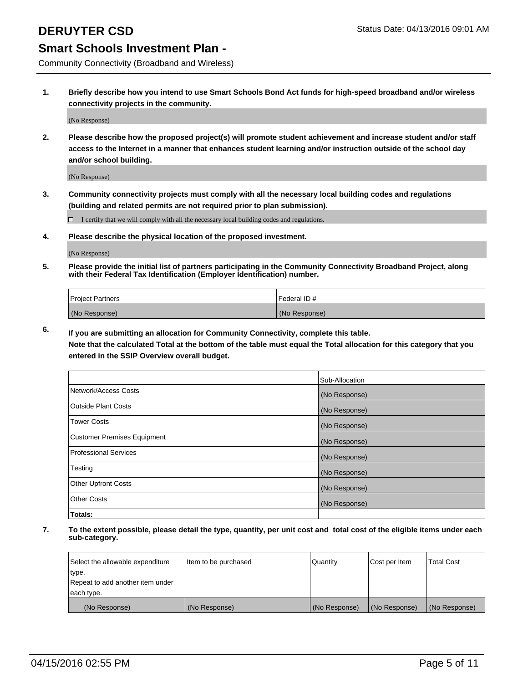Community Connectivity (Broadband and Wireless)

**1. Briefly describe how you intend to use Smart Schools Bond Act funds for high-speed broadband and/or wireless connectivity projects in the community.**

(No Response)

**2. Please describe how the proposed project(s) will promote student achievement and increase student and/or staff access to the Internet in a manner that enhances student learning and/or instruction outside of the school day and/or school building.**

(No Response)

**3. Community connectivity projects must comply with all the necessary local building codes and regulations (building and related permits are not required prior to plan submission).**

 $\Box$  I certify that we will comply with all the necessary local building codes and regulations.

**4. Please describe the physical location of the proposed investment.**

(No Response)

**5. Please provide the initial list of partners participating in the Community Connectivity Broadband Project, along with their Federal Tax Identification (Employer Identification) number.**

| <b>Project Partners</b> | <b>IFederal ID#</b> |
|-------------------------|---------------------|
| (No Response)           | (No Response)       |

**6. If you are submitting an allocation for Community Connectivity, complete this table.**

**Note that the calculated Total at the bottom of the table must equal the Total allocation for this category that you entered in the SSIP Overview overall budget.**

|                                    | Sub-Allocation |
|------------------------------------|----------------|
| Network/Access Costs               | (No Response)  |
| Outside Plant Costs                | (No Response)  |
| <b>Tower Costs</b>                 | (No Response)  |
| <b>Customer Premises Equipment</b> | (No Response)  |
| Professional Services              | (No Response)  |
| Testing                            | (No Response)  |
| <b>Other Upfront Costs</b>         | (No Response)  |
| Other Costs                        | (No Response)  |
| Totals:                            |                |

| Select the allowable expenditure | litem to be purchased | Quantity      | Cost per Item | <b>Total Cost</b> |
|----------------------------------|-----------------------|---------------|---------------|-------------------|
| type.                            |                       |               |               |                   |
| Repeat to add another item under |                       |               |               |                   |
| each type.                       |                       |               |               |                   |
| (No Response)                    | (No Response)         | (No Response) | (No Response) | (No Response)     |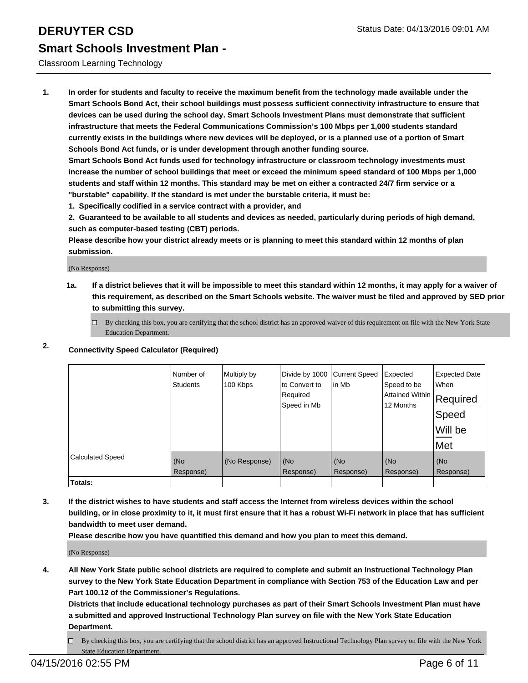#### Classroom Learning Technology

**1. In order for students and faculty to receive the maximum benefit from the technology made available under the Smart Schools Bond Act, their school buildings must possess sufficient connectivity infrastructure to ensure that devices can be used during the school day. Smart Schools Investment Plans must demonstrate that sufficient infrastructure that meets the Federal Communications Commission's 100 Mbps per 1,000 students standard currently exists in the buildings where new devices will be deployed, or is a planned use of a portion of Smart Schools Bond Act funds, or is under development through another funding source.**

**Smart Schools Bond Act funds used for technology infrastructure or classroom technology investments must increase the number of school buildings that meet or exceed the minimum speed standard of 100 Mbps per 1,000 students and staff within 12 months. This standard may be met on either a contracted 24/7 firm service or a "burstable" capability. If the standard is met under the burstable criteria, it must be:**

**1. Specifically codified in a service contract with a provider, and**

**2. Guaranteed to be available to all students and devices as needed, particularly during periods of high demand, such as computer-based testing (CBT) periods.**

**Please describe how your district already meets or is planning to meet this standard within 12 months of plan submission.**

(No Response)

**1a. If a district believes that it will be impossible to meet this standard within 12 months, it may apply for a waiver of this requirement, as described on the Smart Schools website. The waiver must be filed and approved by SED prior to submitting this survey.**

 $\Box$  By checking this box, you are certifying that the school district has an approved waiver of this requirement on file with the New York State Education Department.

### **2. Connectivity Speed Calculator (Required)**

|                         | Number of<br><b>Students</b> | Multiply by<br>100 Kbps | Divide by 1000<br>to Convert to<br>Required<br>Speed in Mb | <b>Current Speed</b><br>lin Mb | Expected<br>Speed to be<br> Attained Within   Required<br>12 Months | <b>Expected Date</b><br>When<br>Speed<br>Will be<br>Met |
|-------------------------|------------------------------|-------------------------|------------------------------------------------------------|--------------------------------|---------------------------------------------------------------------|---------------------------------------------------------|
| <b>Calculated Speed</b> | (No<br>Response)             | (No Response)           | (No<br>Response)                                           | (No<br>Response)               | (No<br>Response)                                                    | (No<br>Response)                                        |
| <b>Totals:</b>          |                              |                         |                                                            |                                |                                                                     |                                                         |

**3. If the district wishes to have students and staff access the Internet from wireless devices within the school building, or in close proximity to it, it must first ensure that it has a robust Wi-Fi network in place that has sufficient bandwidth to meet user demand.**

**Please describe how you have quantified this demand and how you plan to meet this demand.**

(No Response)

**4. All New York State public school districts are required to complete and submit an Instructional Technology Plan survey to the New York State Education Department in compliance with Section 753 of the Education Law and per Part 100.12 of the Commissioner's Regulations.**

**Districts that include educational technology purchases as part of their Smart Schools Investment Plan must have a submitted and approved Instructional Technology Plan survey on file with the New York State Education Department.**

By checking this box, you are certifying that the school district has an approved Instructional Technology Plan survey on file with the New York State Education Department.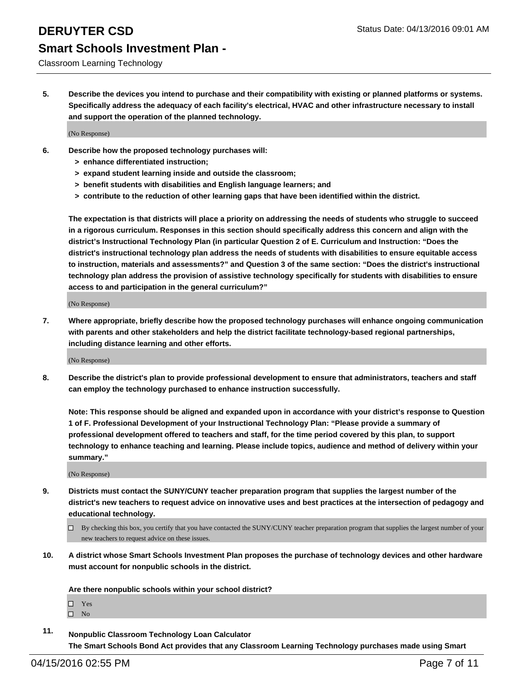Classroom Learning Technology

**5. Describe the devices you intend to purchase and their compatibility with existing or planned platforms or systems. Specifically address the adequacy of each facility's electrical, HVAC and other infrastructure necessary to install and support the operation of the planned technology.**

(No Response)

- **6. Describe how the proposed technology purchases will:**
	- **> enhance differentiated instruction;**
	- **> expand student learning inside and outside the classroom;**
	- **> benefit students with disabilities and English language learners; and**
	- **> contribute to the reduction of other learning gaps that have been identified within the district.**

**The expectation is that districts will place a priority on addressing the needs of students who struggle to succeed in a rigorous curriculum. Responses in this section should specifically address this concern and align with the district's Instructional Technology Plan (in particular Question 2 of E. Curriculum and Instruction: "Does the district's instructional technology plan address the needs of students with disabilities to ensure equitable access to instruction, materials and assessments?" and Question 3 of the same section: "Does the district's instructional technology plan address the provision of assistive technology specifically for students with disabilities to ensure access to and participation in the general curriculum?"**

(No Response)

**7. Where appropriate, briefly describe how the proposed technology purchases will enhance ongoing communication with parents and other stakeholders and help the district facilitate technology-based regional partnerships, including distance learning and other efforts.**

(No Response)

**8. Describe the district's plan to provide professional development to ensure that administrators, teachers and staff can employ the technology purchased to enhance instruction successfully.**

**Note: This response should be aligned and expanded upon in accordance with your district's response to Question 1 of F. Professional Development of your Instructional Technology Plan: "Please provide a summary of professional development offered to teachers and staff, for the time period covered by this plan, to support technology to enhance teaching and learning. Please include topics, audience and method of delivery within your summary."**

(No Response)

- **9. Districts must contact the SUNY/CUNY teacher preparation program that supplies the largest number of the district's new teachers to request advice on innovative uses and best practices at the intersection of pedagogy and educational technology.**
	- $\Box$  By checking this box, you certify that you have contacted the SUNY/CUNY teacher preparation program that supplies the largest number of your new teachers to request advice on these issues.
- **10. A district whose Smart Schools Investment Plan proposes the purchase of technology devices and other hardware must account for nonpublic schools in the district.**

**Are there nonpublic schools within your school district?**

□ Yes  $\square$  No

**11. Nonpublic Classroom Technology Loan Calculator The Smart Schools Bond Act provides that any Classroom Learning Technology purchases made using Smart**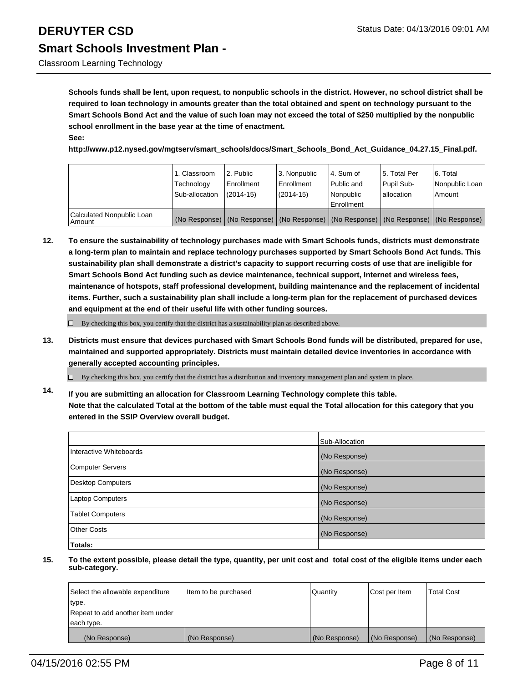Classroom Learning Technology

**Schools funds shall be lent, upon request, to nonpublic schools in the district. However, no school district shall be required to loan technology in amounts greater than the total obtained and spent on technology pursuant to the Smart Schools Bond Act and the value of such loan may not exceed the total of \$250 multiplied by the nonpublic school enrollment in the base year at the time of enactment. See:**

**http://www.p12.nysed.gov/mgtserv/smart\_schools/docs/Smart\_Schools\_Bond\_Act\_Guidance\_04.27.15\_Final.pdf.**

|                                       | 1. Classroom<br>Technology<br>Sub-allocation | 12. Public<br>Enrollment<br>$(2014 - 15)$ | 3. Nonpublic<br><b>Enrollment</b><br>$(2014 - 15)$                                            | 4. Sum of<br>Public and<br>Nonpublic<br>Enrollment | 15. Total Per<br>Pupil Sub-<br>lallocation | 6. Total<br>Nonpublic Loan<br>Amount |
|---------------------------------------|----------------------------------------------|-------------------------------------------|-----------------------------------------------------------------------------------------------|----------------------------------------------------|--------------------------------------------|--------------------------------------|
| Calculated Nonpublic Loan<br>  Amount |                                              |                                           | (No Response)   (No Response)   (No Response)   (No Response)   (No Response)   (No Response) |                                                    |                                            |                                      |

**12. To ensure the sustainability of technology purchases made with Smart Schools funds, districts must demonstrate a long-term plan to maintain and replace technology purchases supported by Smart Schools Bond Act funds. This sustainability plan shall demonstrate a district's capacity to support recurring costs of use that are ineligible for Smart Schools Bond Act funding such as device maintenance, technical support, Internet and wireless fees, maintenance of hotspots, staff professional development, building maintenance and the replacement of incidental items. Further, such a sustainability plan shall include a long-term plan for the replacement of purchased devices and equipment at the end of their useful life with other funding sources.**

 $\Box$  By checking this box, you certify that the district has a sustainability plan as described above.

**13. Districts must ensure that devices purchased with Smart Schools Bond funds will be distributed, prepared for use, maintained and supported appropriately. Districts must maintain detailed device inventories in accordance with generally accepted accounting principles.**

 $\Box$  By checking this box, you certify that the district has a distribution and inventory management plan and system in place.

**14. If you are submitting an allocation for Classroom Learning Technology complete this table. Note that the calculated Total at the bottom of the table must equal the Total allocation for this category that you entered in the SSIP Overview overall budget.**

|                          | Sub-Allocation |
|--------------------------|----------------|
| Interactive Whiteboards  | (No Response)  |
| <b>Computer Servers</b>  | (No Response)  |
| <b>Desktop Computers</b> | (No Response)  |
| Laptop Computers         | (No Response)  |
| <b>Tablet Computers</b>  | (No Response)  |
| Other Costs              | (No Response)  |
| Totals:                  |                |

| Select the allowable expenditure | Item to be purchased | Quantity      | Cost per Item | <b>Total Cost</b> |
|----------------------------------|----------------------|---------------|---------------|-------------------|
| type.                            |                      |               |               |                   |
| Repeat to add another item under |                      |               |               |                   |
| each type.                       |                      |               |               |                   |
| (No Response)                    | (No Response)        | (No Response) | (No Response) | (No Response)     |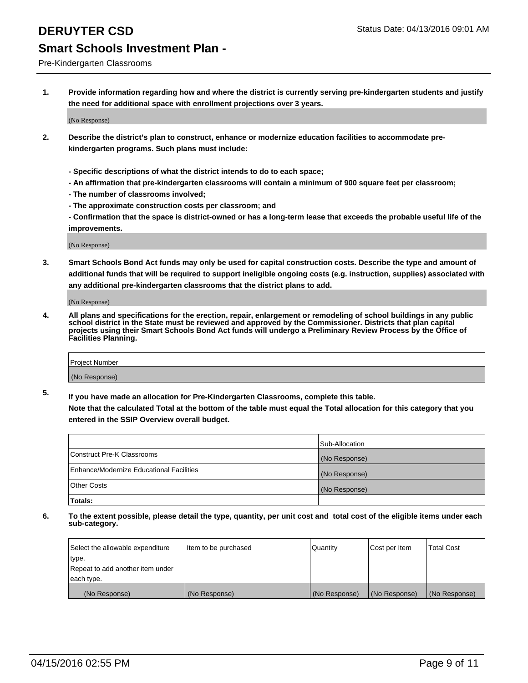Pre-Kindergarten Classrooms

**1. Provide information regarding how and where the district is currently serving pre-kindergarten students and justify the need for additional space with enrollment projections over 3 years.**

(No Response)

- **2. Describe the district's plan to construct, enhance or modernize education facilities to accommodate prekindergarten programs. Such plans must include:**
	- **Specific descriptions of what the district intends to do to each space;**
	- **An affirmation that pre-kindergarten classrooms will contain a minimum of 900 square feet per classroom;**
	- **The number of classrooms involved;**
	- **The approximate construction costs per classroom; and**
	- **Confirmation that the space is district-owned or has a long-term lease that exceeds the probable useful life of the improvements.**

(No Response)

**3. Smart Schools Bond Act funds may only be used for capital construction costs. Describe the type and amount of additional funds that will be required to support ineligible ongoing costs (e.g. instruction, supplies) associated with any additional pre-kindergarten classrooms that the district plans to add.**

(No Response)

**4. All plans and specifications for the erection, repair, enlargement or remodeling of school buildings in any public school district in the State must be reviewed and approved by the Commissioner. Districts that plan capital projects using their Smart Schools Bond Act funds will undergo a Preliminary Review Process by the Office of Facilities Planning.**

| Project Number |  |
|----------------|--|
| (No Response)  |  |

**5. If you have made an allocation for Pre-Kindergarten Classrooms, complete this table. Note that the calculated Total at the bottom of the table must equal the Total allocation for this category that you**

**entered in the SSIP Overview overall budget.**

|                                          | Sub-Allocation |
|------------------------------------------|----------------|
| Construct Pre-K Classrooms               | (No Response)  |
| Enhance/Modernize Educational Facilities | (No Response)  |
| Other Costs                              | (No Response)  |
| Totals:                                  |                |

| Select the allowable expenditure | Item to be purchased | Quantity      | Cost per Item | <b>Total Cost</b> |
|----------------------------------|----------------------|---------------|---------------|-------------------|
| type.                            |                      |               |               |                   |
| Repeat to add another item under |                      |               |               |                   |
| each type.                       |                      |               |               |                   |
| (No Response)                    | (No Response)        | (No Response) | (No Response) | (No Response)     |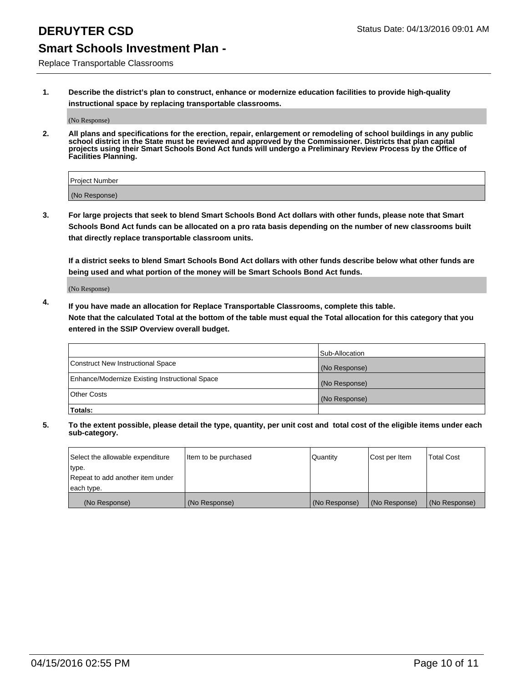Replace Transportable Classrooms

**1. Describe the district's plan to construct, enhance or modernize education facilities to provide high-quality instructional space by replacing transportable classrooms.**

(No Response)

**2. All plans and specifications for the erection, repair, enlargement or remodeling of school buildings in any public school district in the State must be reviewed and approved by the Commissioner. Districts that plan capital projects using their Smart Schools Bond Act funds will undergo a Preliminary Review Process by the Office of Facilities Planning.**

| Project Number |  |
|----------------|--|
| (No Response)  |  |

**3. For large projects that seek to blend Smart Schools Bond Act dollars with other funds, please note that Smart Schools Bond Act funds can be allocated on a pro rata basis depending on the number of new classrooms built that directly replace transportable classroom units.**

**If a district seeks to blend Smart Schools Bond Act dollars with other funds describe below what other funds are being used and what portion of the money will be Smart Schools Bond Act funds.**

(No Response)

**4. If you have made an allocation for Replace Transportable Classrooms, complete this table. Note that the calculated Total at the bottom of the table must equal the Total allocation for this category that you entered in the SSIP Overview overall budget.**

|                                                | Sub-Allocation |
|------------------------------------------------|----------------|
| Construct New Instructional Space              | (No Response)  |
| Enhance/Modernize Existing Instructional Space | (No Response)  |
| <b>Other Costs</b>                             | (No Response)  |
| Totals:                                        |                |

| Select the allowable expenditure | Item to be purchased | <b>Quantity</b> | Cost per Item | <b>Total Cost</b> |
|----------------------------------|----------------------|-----------------|---------------|-------------------|
| type.                            |                      |                 |               |                   |
| Repeat to add another item under |                      |                 |               |                   |
| each type.                       |                      |                 |               |                   |
| (No Response)                    | (No Response)        | (No Response)   | (No Response) | (No Response)     |